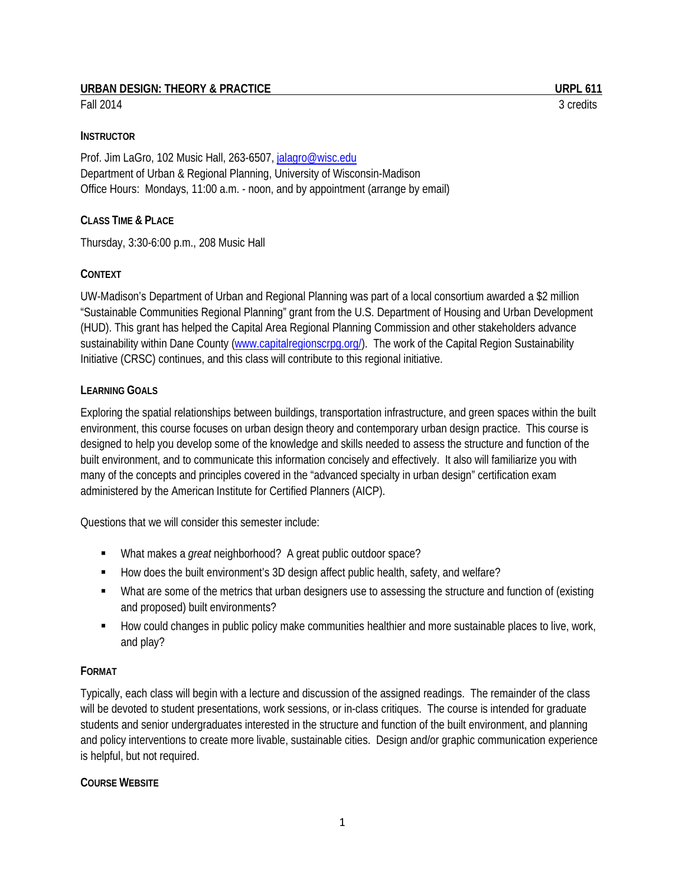## URBAN DESIGN: THEORY & PRACTICE **URPL 611**

Fall 2014 3 credits

#### **INSTRUCTOR**

Prof. Jim LaGro, 102 Music Hall, 263-6507[, jalagro@wisc.edu](mailto:jalagro@wisc.edu) Department of Urban & Regional Planning, University of Wisconsin-Madison Office Hours: Mondays, 11:00 a.m. - noon, and by appointment (arrange by email)

### **CLASS TIME & PLACE**

Thursday, 3:30-6:00 p.m., 208 Music Hall

#### **CONTEXT**

UW-Madison's Department of Urban and Regional Planning was part of a local consortium awarded a \$2 million "Sustainable Communities Regional Planning" grant from the U.S. Department of Housing and Urban Development (HUD). This grant has helped the Capital Area Regional Planning Commission and other stakeholders advance sustainability within Dane County [\(www.capitalregionscrpg.org/\)](http://www.capitalregionscrpg.org/). The work of the Capital Region Sustainability Initiative (CRSC) continues, and this class will contribute to this regional initiative.

#### **LEARNING GOALS**

Exploring the spatial relationships between buildings, transportation infrastructure, and green spaces within the built environment, this course focuses on urban design theory and contemporary urban design practice. This course is designed to help you develop some of the knowledge and skills needed to assess the structure and function of the built environment, and to communicate this information concisely and effectively. It also will familiarize you with many of the concepts and principles covered in the "advanced specialty in urban design" certification exam administered by the American Institute for Certified Planners (AICP).

Questions that we will consider this semester include:

- What makes a *great* neighborhood? A great public outdoor space?
- How does the built environment's 3D design affect public health, safety, and welfare?
- What are some of the metrics that urban designers use to assessing the structure and function of (existing and proposed) built environments?
- How could changes in public policy make communities healthier and more sustainable places to live, work, and play?

### **FORMAT**

Typically, each class will begin with a lecture and discussion of the assigned readings. The remainder of the class will be devoted to student presentations, work sessions, or in-class critiques. The course is intended for graduate students and senior undergraduates interested in the structure and function of the built environment, and planning and policy interventions to create more livable, sustainable cities. Design and/or graphic communication experience is helpful, but not required.

#### **COURSE WEBSITE**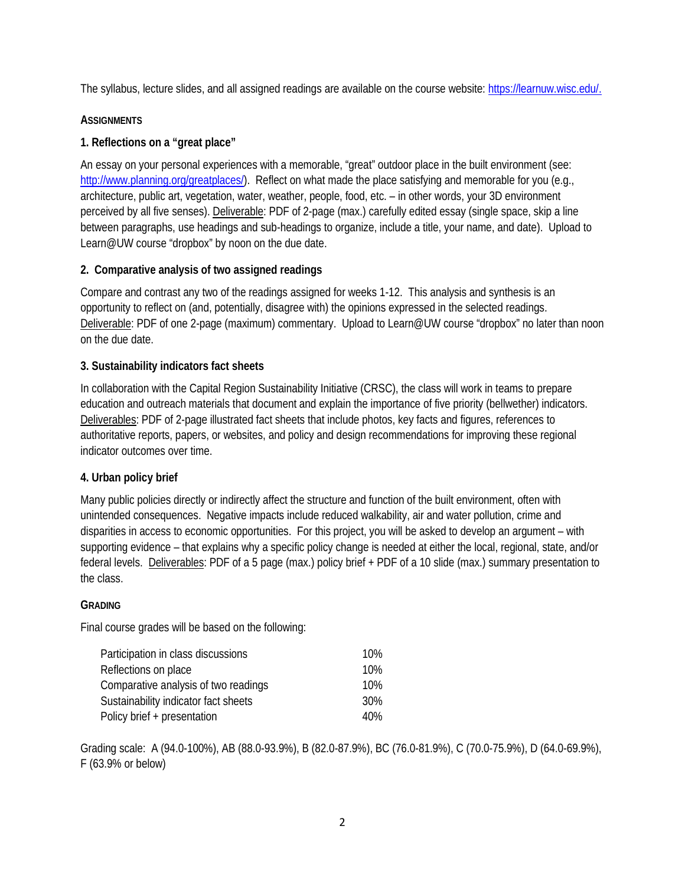The syllabus, lecture slides, and all assigned readings are available on the course website[: https://learnuw.wisc.edu/.](https://learnuw.wisc.edu/)

## **ASSIGNMENTS**

## **1. Reflections on a "great place"**

An essay on your personal experiences with a memorable, "great" outdoor place in the built environment (see: [http://www.planning.org/greatplaces/\)](http://www.planning.org/greatplaces/). Reflect on what made the place satisfying and memorable for you (e.g., architecture, public art, vegetation, water, weather, people, food, etc. – in other words, your 3D environment perceived by all five senses). Deliverable: PDF of 2-page (max.) carefully edited essay (single space, skip a line between paragraphs, use headings and sub-headings to organize, include a title, your name, and date). Upload to Learn@UW course "dropbox" by noon on the due date.

## **2. Comparative analysis of two assigned readings**

Compare and contrast any two of the readings assigned for weeks 1-12. This analysis and synthesis is an opportunity to reflect on (and, potentially, disagree with) the opinions expressed in the selected readings. Deliverable: PDF of one 2-page (maximum) commentary. Upload to Learn@UW course "dropbox" no later than noon on the due date.

## **3. Sustainability indicators fact sheets**

In collaboration with the Capital Region Sustainability Initiative (CRSC), the class will work in teams to prepare education and outreach materials that document and explain the importance of five priority (bellwether) indicators. Deliverables: PDF of 2-page illustrated fact sheets that include photos, key facts and figures, references to authoritative reports, papers, or websites, and policy and design recommendations for improving these regional indicator outcomes over time.

### **4. Urban policy brief**

Many public policies directly or indirectly affect the structure and function of the built environment, often with unintended consequences. Negative impacts include reduced walkability, air and water pollution, crime and disparities in access to economic opportunities. For this project, you will be asked to develop an argument – with supporting evidence – that explains why a specific policy change is needed at either the local, regional, state, and/or federal levels. Deliverables: PDF of a 5 page (max.) policy brief + PDF of a 10 slide (max.) summary presentation to the class.

### **GRADING**

Final course grades will be based on the following:

| Participation in class discussions   | 10% |
|--------------------------------------|-----|
| Reflections on place                 | 10% |
| Comparative analysis of two readings | 10% |
| Sustainability indicator fact sheets | 30% |
| Policy brief + presentation          | 40% |

Grading scale: A (94.0-100%), AB (88.0-93.9%), B (82.0-87.9%), BC (76.0-81.9%), C (70.0-75.9%), D (64.0-69.9%), F (63.9% or below)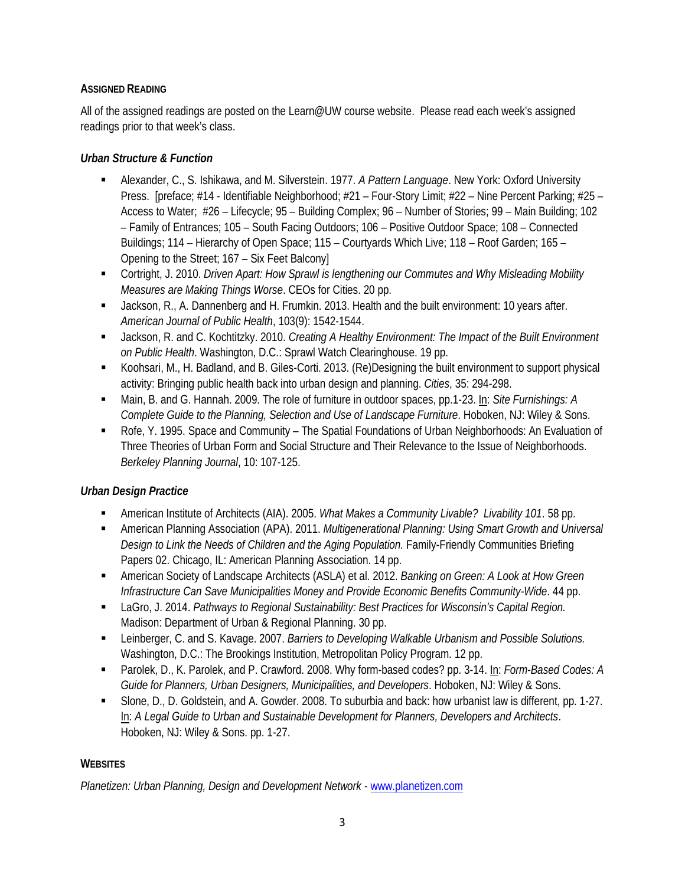## **ASSIGNED READING**

All of the assigned readings are posted on the Learn@UW course website. Please read each week's assigned readings prior to that week's class.

## *Urban Structure & Function*

- Alexander, C., S. Ishikawa, and M. Silverstein. 1977. *A Pattern Language*. New York: Oxford University Press. [preface; #14 - Identifiable Neighborhood; #21 – Four-Story Limit; #22 – Nine Percent Parking; #25 – Access to Water; #26 – Lifecycle; 95 – Building Complex; 96 – Number of Stories; 99 – Main Building; 102 – Family of Entrances; 105 – South Facing Outdoors; 106 – Positive Outdoor Space; 108 – Connected Buildings; 114 – Hierarchy of Open Space; 115 – Courtyards Which Live; 118 – Roof Garden; 165 – Opening to the Street; 167 – Six Feet Balcony]
- Cortright, J. 2010. *Driven Apart: How Sprawl is lengthening our Commutes and Why Misleading Mobility Measures are Making Things Worse*. CEOs for Cities. 20 pp.
- Jackson, R., A. Dannenberg and H. Frumkin. 2013. Health and the built environment: 10 years after. *American Journal of Public Health*, 103(9): 1542-1544.
- Jackson, R. and C. Kochtitzky. 2010. *Creating A Healthy Environment: The Impact of the Built Environment on Public Health*. Washington, D.C.: Sprawl Watch Clearinghouse. 19 pp.
- Koohsari, M., H. Badland, and B. Giles-Corti. 2013. (Re)Designing the built environment to support physical activity: Bringing public health back into urban design and planning. *Cities*, 35: 294-298.
- Main, B. and G. Hannah. 2009. The role of furniture in outdoor spaces, pp.1-23. In: *Site Furnishings: A Complete Guide to the Planning, Selection and Use of Landscape Furniture*. Hoboken, NJ: Wiley & Sons.
- Rofe, Y. 1995. Space and Community The Spatial Foundations of Urban Neighborhoods: An Evaluation of Three Theories of Urban Form and Social Structure and Their Relevance to the Issue of Neighborhoods. *Berkeley Planning Journal*, 10: 107-125.

# *Urban Design Practice*

- American Institute of Architects (AIA). 2005. *What Makes a Community Livable? Livability 101*. 58 pp.
- American Planning Association (APA). 2011. *Multigenerational Planning: Using Smart Growth and Universal Design to Link the Needs of Children and the Aging Population.* Family-Friendly Communities Briefing Papers 02. Chicago, IL: American Planning Association. 14 pp.
- American Society of Landscape Architects (ASLA) et al. 2012. *Banking on Green: A Look at How Green Infrastructure Can Save Municipalities Money and Provide Economic Benefits Community-Wide*. 44 pp.
- LaGro, J. 2014. *Pathways to Regional Sustainability: Best Practices for Wisconsin's Capital Region.* Madison: Department of Urban & Regional Planning. 30 pp.
- Leinberger, C. and S. Kavage. 2007. *Barriers to Developing Walkable Urbanism and Possible Solutions.*  Washington, D.C.: The Brookings Institution, Metropolitan Policy Program. 12 pp.
- Parolek, D., K. Parolek, and P. Crawford. 2008. Why form-based codes? pp. 3-14. In: *Form-Based Codes: A Guide for Planners, Urban Designers, Municipalities, and Developers*. Hoboken, NJ: Wiley & Sons.
- Slone, D., D. Goldstein, and A. Gowder. 2008. To suburbia and back: how urbanist law is different, pp. 1-27. In: *A Legal Guide to Urban and Sustainable Development for Planners, Developers and Architects*. Hoboken, NJ: Wiley & Sons. pp. 1-27.

# **WEBSITES**

*Planetizen: Urban Planning, Design and Development Network -* [www.planetizen.com](http://www.planetizen.com/)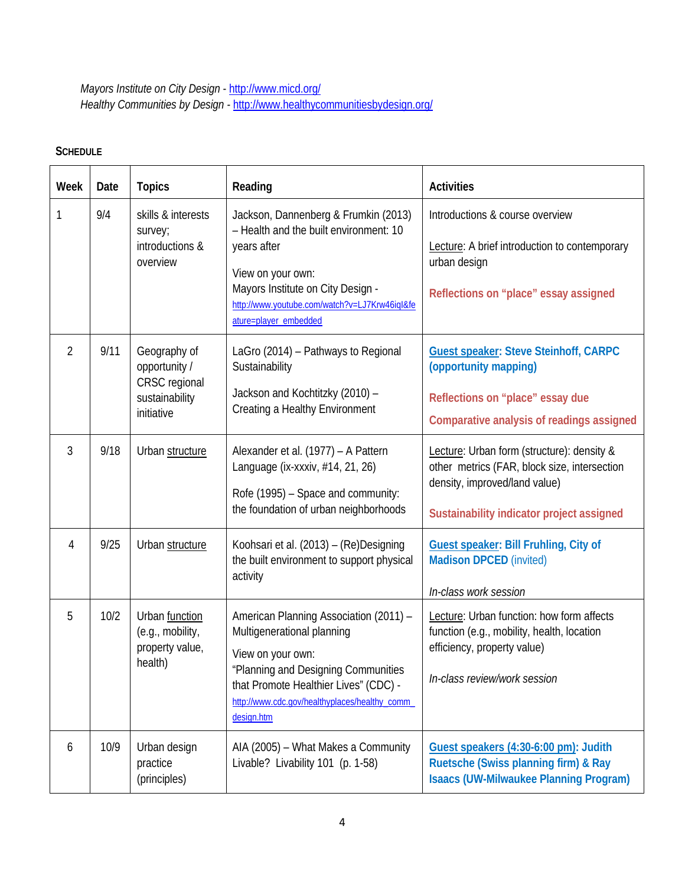*Mayors Institute on City Design* - <http://www.micd.org/> *Healthy Communities by Design -* <http://www.healthycommunitiesbydesign.org/>

# **SCHEDULE**

| Week           | Date | <b>Topics</b>                                                                  | Reading                                                                                                                                                                                                                                   | <b>Activities</b>                                                                                                                                                        |
|----------------|------|--------------------------------------------------------------------------------|-------------------------------------------------------------------------------------------------------------------------------------------------------------------------------------------------------------------------------------------|--------------------------------------------------------------------------------------------------------------------------------------------------------------------------|
| 1              | 9/4  | skills & interests<br>survey;<br>introductions &<br>overview                   | Jackson, Dannenberg & Frumkin (2013)<br>- Health and the built environment: 10<br>years after<br>View on your own:<br>Mayors Institute on City Design -<br>http://www.youtube.com/watch?v=LJ7Krw46iql&fe<br>ature=player_embedded         | Introductions & course overview<br>Lecture: A brief introduction to contemporary<br>urban design<br>Reflections on "place" essay assigned                                |
| $\overline{2}$ | 9/11 | Geography of<br>opportunity /<br>CRSC regional<br>sustainability<br>initiative | LaGro (2014) - Pathways to Regional<br>Sustainability<br>Jackson and Kochtitzky (2010) -<br>Creating a Healthy Environment                                                                                                                | <b>Guest speaker: Steve Steinhoff, CARPC</b><br>(opportunity mapping)<br>Reflections on "place" essay due<br>Comparative analysis of readings assigned                   |
| 3              | 9/18 | Urban structure                                                                | Alexander et al. (1977) - A Pattern<br>Language (ix-xxxiv, #14, 21, 26)<br>Rofe (1995) - Space and community:<br>the foundation of urban neighborhoods                                                                                    | Lecture: Urban form (structure): density &<br>other metrics (FAR, block size, intersection<br>density, improved/land value)<br>Sustainability indicator project assigned |
| 4              | 9/25 | Urban structure                                                                | Koohsari et al. (2013) - (Re)Designing<br>the built environment to support physical<br>activity                                                                                                                                           | Guest speaker: Bill Fruhling, City of<br><b>Madison DPCED (invited)</b><br>In-class work session                                                                         |
| 5              | 10/2 | Urban function<br>(e.g., mobility,<br>property value,<br>health)               | American Planning Association (2011) -<br>Multigenerational planning<br>View on your own:<br>"Planning and Designing Communities<br>that Promote Healthier Lives" (CDC) -<br>http://www.cdc.gov/healthyplaces/healthy_comm_<br>design.htm | Lecture: Urban function: how form affects<br>function (e.g., mobility, health, location<br>efficiency, property value)<br>In-class review/work session                   |
| 6              | 10/9 | Urban design<br>practice<br>(principles)                                       | AIA (2005) - What Makes a Community<br>Livable? Livability 101 (p. 1-58)                                                                                                                                                                  | Guest speakers (4:30-6:00 pm): Judith<br>Ruetsche (Swiss planning firm) & Ray<br><b>Isaacs (UW-Milwaukee Planning Program)</b>                                           |